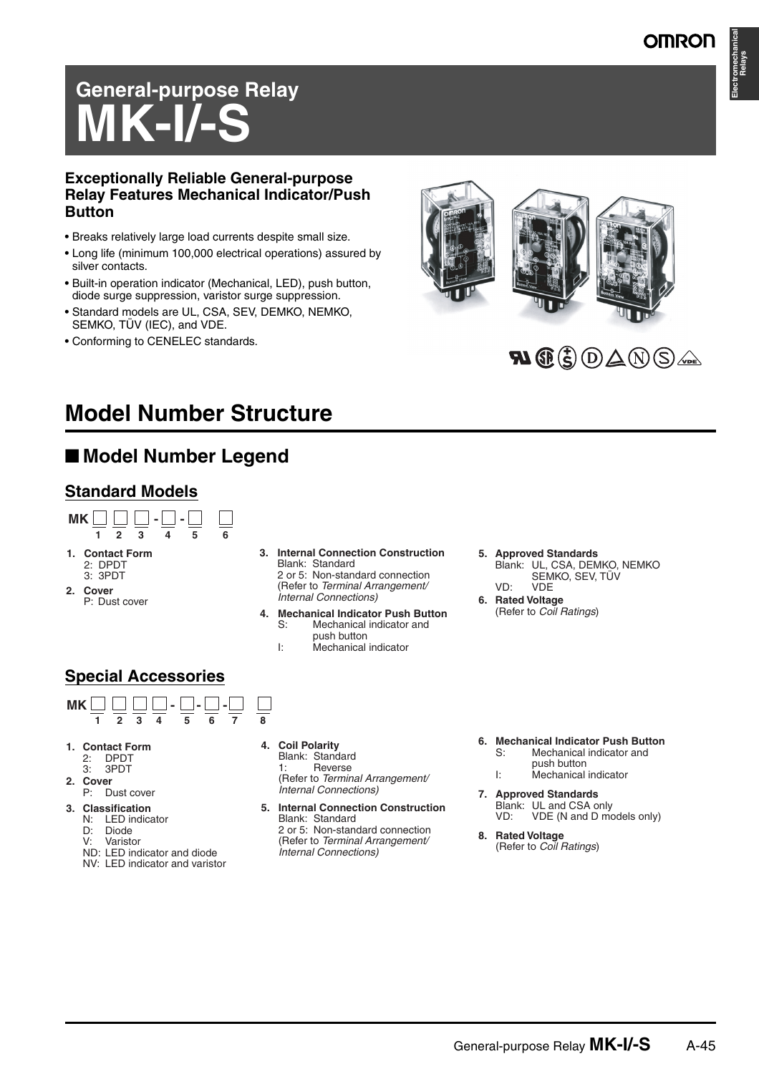# **Electromechanical Relays**

# **General-purpose Relay MK-I/-**

#### **Exceptionally Reliable General-purpose Relay Features Mechanical Indicator/Push Button**

- Breaks relatively large load currents despite small size.
- Long life (minimum 100,000 electrical operations) assured by silver contacts.
- Built-in operation indicator (Mechanical, LED), push button, diode surge suppression, varistor surge suppression.
- Standard models are UL, CSA, SEV, DEMKO, NEMKO, SEMKO, TÜV (IEC), and VDE.
- Conforming to CENELEC standards.



## $\mathbf{N}\mathbf{G}(\mathbf{t})\mathbf{D}\mathbf{\triangle}\mathbf{N}\mathbf{S}$

# **Model Number Structure**

### ■ Model Number Legend

#### **Standard Models**



 2 or 5: Non-standard connection (Refer to *Terminal Arrangement/ Internal Connections)* **4. Mechanical Indicator Push Button**  Mechanical indicator and

Blank: Standard

- push button<br>I: Mechanical
	- Mechanical indicator

#### **5. Approved Standards**

- Blank: UL, CSA, DEMKO, NEMKO SEMKO, SEV, TÜV VD: VDE
- **6. Rated Voltage**  (Refer to *Coil Ratings*)

- **3. Classification**
- N: LED indicator
- D: Diode
	- V: Varistor
	- ND: LED indicator and diode
	- NV: LED indicator and varistor
- **4. Coil Polarity**  Blank: Standard 1: Reverse

 (Refer to *Terminal Arrangement/ Internal Connections)*

- **5. Internal Connection Construction**  Blank: Standard 2 or 5: Non-standard connection (Refer to *Terminal Arrangement/ Internal Connections)*
- **6. Mechanical Indicator Push Button** S: Mechanical indicator and
	- push button<br>I: Mechanical Mechanical indicator
- **7. Approved Standards**  Blank: UL and CSA only<br>VD: VDE (N and D mo VDE (N and D models only)
- **8. Rated Voltage**  (Refer to *Coil Ratings*)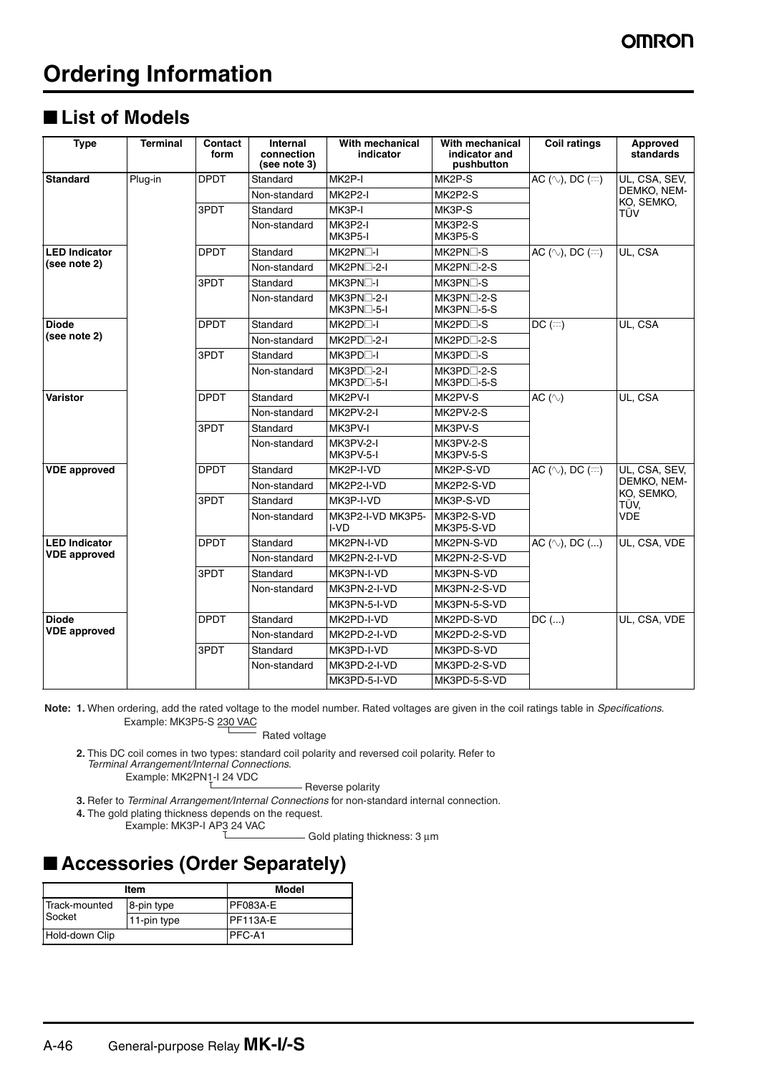# **Ordering Information**

### ■ List of Models

| <b>Type</b>          | <b>Terminal</b> | Contact<br>form | Internal<br>connection<br>(see note 3) | With mechanical<br>indicator            | With mechanical<br>indicator and<br>pushbutton | <b>Coil ratings</b>                | <b>Approved</b><br>standards |
|----------------------|-----------------|-----------------|----------------------------------------|-----------------------------------------|------------------------------------------------|------------------------------------|------------------------------|
| <b>Standard</b>      | Plug-in         | <b>DPDT</b>     | Standard                               | MK2P-I                                  | MK2P-S                                         | AC ( $\Diamond$ ), DC ( $\equiv$ ) | UL, CSA, SEV,<br>DEMKO, NEM- |
|                      |                 |                 | Non-standard                           | MK2P2-I                                 | MK2P2-S                                        |                                    |                              |
|                      |                 | 3PDT            | Standard                               | MK3P-I                                  | MK3P-S                                         |                                    | KO, SEMKO,<br>TÜV            |
|                      |                 |                 | Non-standard                           | MK3P2-I<br>MK3P5-I                      | MK3P2-S<br>MK3P5-S                             |                                    |                              |
| <b>LED Indicator</b> |                 | <b>DPDT</b>     | Standard                               | MK2PN <sub>D</sub> -I                   | MK2PN□-S                                       | AC $(\sim)$ , DC $(=)$             | UL, CSA                      |
| (see note 2)         |                 |                 | Non-standard                           | MK2PN <sub>1</sub> -2-I                 | MK2PN□-2-S                                     |                                    |                              |
|                      |                 | 3PDT            | Standard                               | MK3PN <sup>-</sup> I                    | MK3PN□-S                                       |                                    |                              |
|                      |                 |                 | Non-standard                           | $MK3PN$ -2-I<br>MK3PN <sub>1</sub> -5-I | MK3PN□-2-S<br>MK3PN□-5-S                       |                                    |                              |
| <b>Diode</b>         |                 | <b>DPDT</b>     | Standard                               | MK2PD□-I                                | MK2PD□-S                                       | $DC \, (\equiv)$                   | UL, CSA                      |
| (see note 2)         |                 |                 | Non-standard                           | MK2PD□-2-I                              | MK2PD□-2-S                                     |                                    |                              |
|                      |                 | 3PDT            | Standard                               | MK3PD <sup>-1</sup>                     | MK3PD□-S                                       |                                    |                              |
|                      |                 |                 | Non-standard                           | $MK3PD$ -2-I<br>MK3PD□-5-I              | $MK3PD\_2-S$<br>MK3PD□-5-S                     |                                    |                              |
| <b>Varistor</b>      |                 | <b>DPDT</b>     | Standard                               | MK2PV-I                                 | MK2PV-S                                        | AC $(\sim)$                        | UL. CSA                      |
|                      |                 |                 | Non-standard                           | <b>MK2PV-2-I</b>                        | MK2PV-2-S                                      |                                    |                              |
|                      |                 | 3PDT            | Standard                               | MK3PV-I                                 | MK3PV-S                                        |                                    |                              |
|                      |                 |                 | Non-standard                           | MK3PV-2-I<br>MK3PV-5-I                  | MK3PV-2-S<br>MK3PV-5-S                         |                                    |                              |
| <b>VDE</b> approved  |                 | <b>DPDT</b>     | Standard                               | MK2P-I-VD                               | MK2P-S-VD                                      | AC ( $\Diamond$ ), DC ( $\equiv$ ) | UL, CSA, SEV,                |
|                      |                 |                 | Non-standard                           | MK2P2-I-VD                              | MK2P2-S-VD                                     |                                    | DEMKO, NEM-<br>KO, SEMKO,    |
|                      |                 | 3PDT            | Standard                               | MK3P-I-VD                               | MK3P-S-VD                                      |                                    | TÜV.                         |
|                      |                 |                 | Non-standard                           | MK3P2-I-VD MK3P5-<br>I-VD               | MK3P2-S-VD<br>MK3P5-S-VD                       |                                    | <b>VDE</b>                   |
| <b>LED Indicator</b> |                 | <b>DPDT</b>     | Standard                               | MK2PN-I-VD                              | MK2PN-S-VD                                     | AC $(\land)$ , DC $()$             | UL, CSA, VDE                 |
| <b>VDE</b> approved  |                 |                 | Non-standard                           | MK2PN-2-I-VD                            | MK2PN-2-S-VD                                   |                                    |                              |
|                      |                 | 3PDT            | Standard                               | MK3PN-I-VD                              | MK3PN-S-VD                                     |                                    |                              |
|                      |                 |                 | Non-standard                           | MK3PN-2-I-VD                            | MK3PN-2-S-VD                                   |                                    |                              |
|                      |                 |                 |                                        | MK3PN-5-I-VD                            | MK3PN-5-S-VD                                   |                                    |                              |
| <b>Diode</b>         |                 | <b>DPDT</b>     | Standard                               | MK2PD-I-VD                              | MK2PD-S-VD                                     | $DC$ ()                            | UL. CSA. VDE                 |
| <b>VDE</b> approved  |                 |                 | Non-standard                           | MK2PD-2-I-VD                            | MK2PD-2-S-VD                                   |                                    |                              |
|                      |                 | 3PDT            | Standard                               | MK3PD-I-VD                              | MK3PD-S-VD                                     |                                    |                              |
|                      |                 |                 | Non-standard                           | MK3PD-2-I-VD                            | MK3PD-2-S-VD                                   |                                    |                              |
|                      |                 |                 |                                        | MK3PD-5-I-VD                            | MK3PD-5-S-VD                                   |                                    |                              |

**Note: 1.** When ordering, add the rated voltage to the model number. Rated voltages are given in the coil ratings table in *Specifications*. Example: MK3P5-S 230 VAC

Rated voltage

**2.** This DC coil comes in two types: standard coil polarity and reversed coil polarity. Refer to *Terminal Arrangement/Internal Connections.*

Example:  $MK2PN_1-124 VDC$ 

- Reverse polarity

**3.** Refer to *Terminal Arrangement/Internal Connections* for non-standard internal connection.

**4.** The gold plating thickness depends on the request.

Example: MK3P-I AP3 24 VAC

Gold plating thickness: 3 µm

### ■ **Accessories (Order Separately)**

|                | Item        | Model           |
|----------------|-------------|-----------------|
| Track-mounted  | 8-pin type  | PF083A-E        |
| Socket         | 11-pin type | <b>PF113A-E</b> |
| Hold-down Clip |             | PFC-A1          |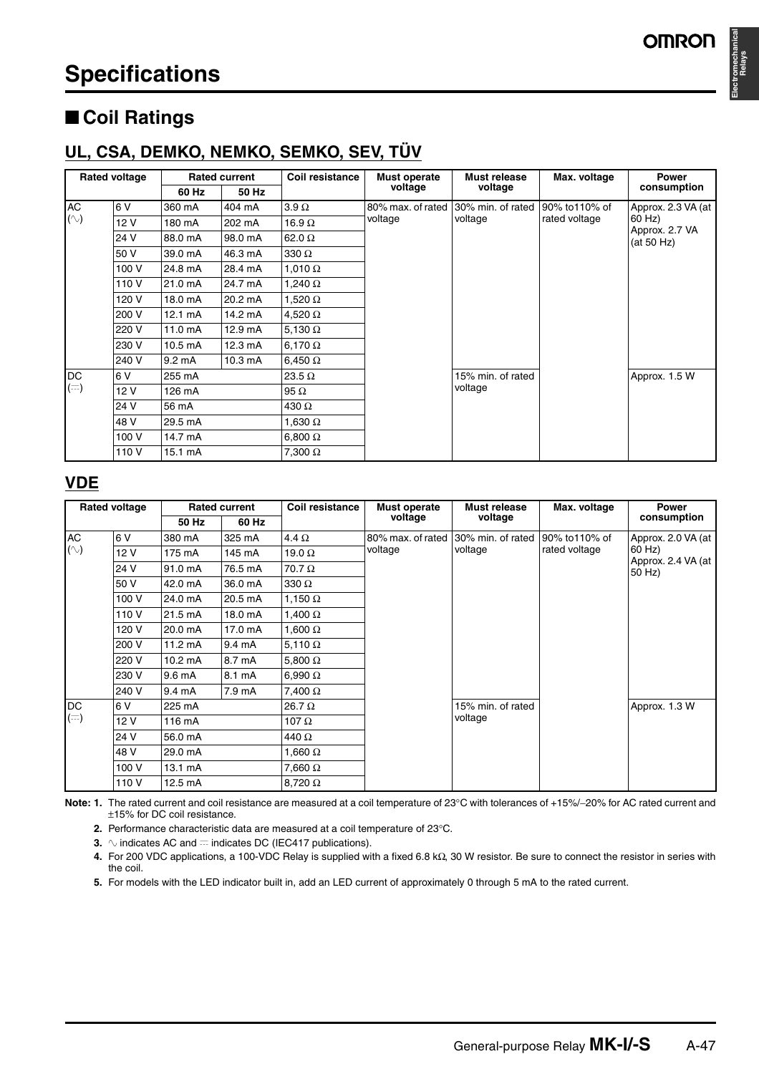**Electromechanical** 

**Relays**

# ■ **Coil Ratings**

### **UL, CSA, DEMKO, NEMKO, SEMKO, SEV, TÜV**

|           | <b>Rated voltage</b> |                   | <b>Rated current</b> | Coil resistance | Must operate      | Must release                 | Max. voltage   | <b>Power</b>             |
|-----------|----------------------|-------------------|----------------------|-----------------|-------------------|------------------------------|----------------|--------------------------|
|           |                      | 60 Hz             | 50 Hz                |                 | voltage           | voltage                      |                | consumption              |
| <b>AC</b> | 6 V                  | 360 mA            | 404 mA               | $3.9 \Omega$    | 80% max, of rated | 30% min. of rated            | 90% to 110% of | Approx. 2.3 VA (at       |
| $(\sim)$  | 12 V                 | 180 mA            | 202 mA               | 16.9 $\Omega$   | voltage           | voltage                      | rated voltage  | 60 Hz)<br>Approx. 2.7 VA |
|           | 24 V                 | 88.0 mA           | 98.0 mA              | 62.0 $\Omega$   |                   |                              |                | (at 50 Hz)               |
|           | 50 V                 | 39.0 mA           | 46.3 mA              | 330 $\Omega$    |                   |                              |                |                          |
|           | 100 V                | 24.8 mA           | 28.4 mA              | 1,010 $\Omega$  |                   |                              |                |                          |
|           | 110 V                | 21.0 mA           | 24.7 mA              | 1,240 $\Omega$  |                   | 15% min. of rated<br>voltage |                |                          |
|           | 120 V                | 18.0 mA           | 20.2 mA              | 1,520 $\Omega$  |                   |                              |                |                          |
|           | 200 V                | $12.1 \text{ mA}$ | 14.2 mA              | 4,520 $\Omega$  |                   |                              |                |                          |
|           | 220 V                | 11.0 mA           | 12.9 mA              | 5,130 $\Omega$  |                   |                              |                |                          |
|           | 230 V                | 10.5 mA           | 12.3 mA              | 6,170 $\Omega$  |                   |                              |                |                          |
|           | 240 V                | 9.2 mA            | 10.3 mA              | 6,450 $\Omega$  |                   |                              |                |                          |
| <b>DC</b> | 6 V                  | 255 mA            |                      | 23.5 $\Omega$   |                   |                              |                | Approx. 1.5 W            |
| $(=)$     | 12 V                 | 126 mA            |                      | 95 $\Omega$     |                   |                              |                |                          |
|           | 24 V                 | 56 mA             |                      | 430 $\Omega$    |                   |                              |                |                          |
|           | 48 V                 | 29.5 mA           |                      | 1,630 $\Omega$  |                   |                              |                |                          |
|           | 100 V                | 14.7 mA           |                      | $6,800 \Omega$  |                   |                              |                |                          |
|           | 110 V                | 15.1 mA           |                      | 7,300 $\Omega$  |                   |                              |                |                          |

#### **VDE**

|            | <b>Rated voltage</b> |                   | <b>Rated current</b> | <b>Coil resistance</b> | Must operate      | Must release      | Max. voltage   | <b>Power</b>                 |
|------------|----------------------|-------------------|----------------------|------------------------|-------------------|-------------------|----------------|------------------------------|
|            |                      | 50 Hz             | 60 Hz                |                        | voltage           | voltage           |                | consumption                  |
| AC         | 6 V                  | 380 mA            | 325 mA               | 4.4 $\Omega$           | 80% max, of rated | 30% min. of rated | 90% to 110% of | Approx. 2.0 VA (at           |
| $(\sim)$   | 12 V                 | 175 mA            | 145 mA               | 19.0 $\Omega$          | voltage           | voltage           | rated voltage  | 60 Hz)<br>Approx. 2.4 VA (at |
|            | 24 V                 | 91.0 mA           | 76.5 mA              | 70.7 Ω                 |                   |                   |                | 50 Hz)                       |
|            | 50 V                 | 42.0 mA           | 36.0 mA              | 330 $\Omega$           |                   |                   |                |                              |
|            | 100 V                | 24.0 mA           | 20.5 mA              | 1,150 $\Omega$         |                   |                   |                |                              |
|            | 110 V                | 21.5 mA           | 18.0 mA              | 1,400 $\Omega$         |                   |                   |                |                              |
|            | 120 V                | 20.0 mA           | 17.0 mA              | 1,600 $\Omega$         |                   |                   |                |                              |
|            | 200 V                | $11.2 \text{ mA}$ | $9.4 \text{ mA}$     | 5,110 $\Omega$         |                   |                   |                |                              |
|            | 220 V                | $10.2 \text{ mA}$ | 8.7 mA               | 5,800 $\Omega$         |                   |                   |                |                              |
|            | 230 V                | $9.6 \text{ mA}$  | 8.1 mA               | 6,990 $\Omega$         |                   |                   |                |                              |
|            | 240 V                | 9.4 mA            | 7.9 mA               | 7,400 $\Omega$         |                   |                   |                |                              |
| DC         | 6 V                  | 225 mA            |                      | $26.7\,\Omega$         |                   | 15% min. of rated |                | Approx. 1.3 W                |
| $(\equiv)$ | 12 V                 | 116 mA            |                      | 107 $\Omega$           |                   | voltage           |                |                              |
|            | 24 V                 | 56.0 mA           |                      | 440 Ω                  |                   |                   |                |                              |
|            | 48 V                 | 29.0 mA           |                      | 1,660 $\Omega$         |                   |                   |                |                              |
|            | 100 V                | 13.1 mA           |                      | 7,660 $\Omega$         |                   |                   |                |                              |
|            | 110 V                | 12.5 mA           |                      | $8,720 \Omega$         |                   |                   |                |                              |

**Note: 1.** The rated current and coil resistance are measured at a coil temperature of 23°C with tolerances of +15%/−20% for AC rated current and ±15% for DC coil resistance.

**2.** Performance characteristic data are measured at a coil temperature of 23°C.

**3.**  $\sim$  indicates AC and  $=$  indicates DC (IEC417 publications).

**4.** For 200 VDC applications, a 100-VDC Relay is supplied with a fixed 6.8 kΩ, 30 W resistor. Be sure to connect the resistor in series with the coil.

**5.** For models with the LED indicator built in, add an LED current of approximately 0 through 5 mA to the rated current.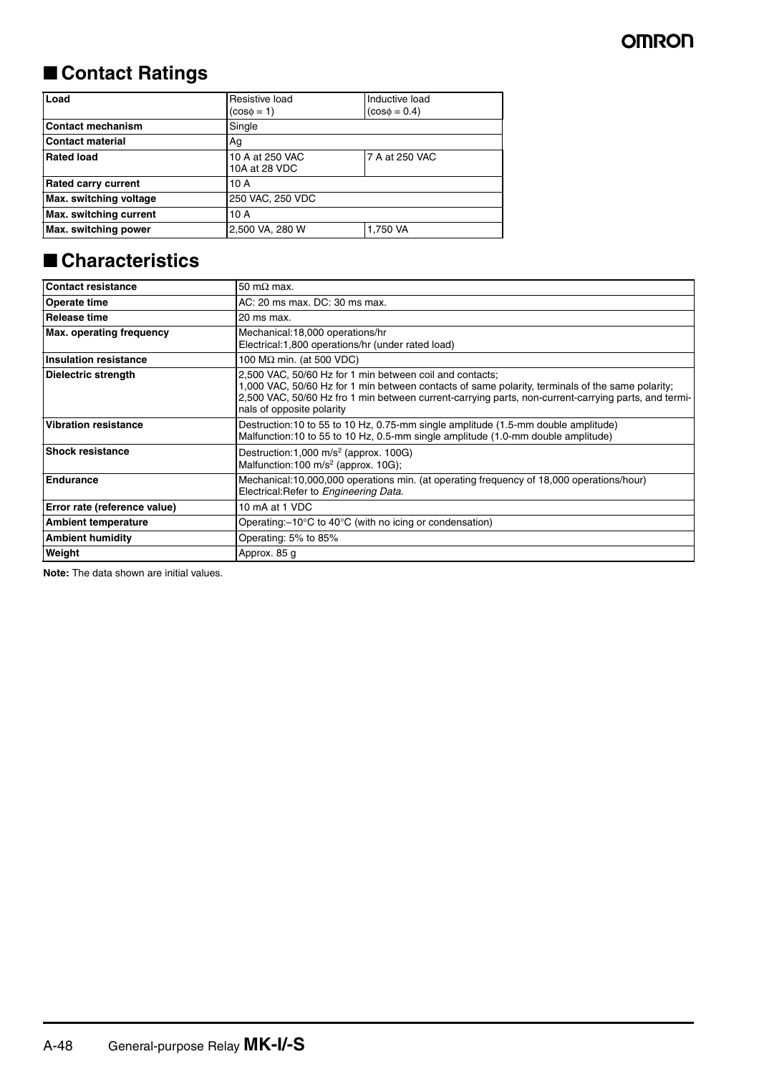### ■ **Contact Ratings**

| Load                       | Resistive load<br>$(cos \phi = 1)$ | Inductive load<br>$(cos\phi = 0.4)$ |  |
|----------------------------|------------------------------------|-------------------------------------|--|
| <b>Contact mechanism</b>   | Single                             |                                     |  |
| <b>Contact material</b>    | Ag                                 |                                     |  |
| <b>Rated load</b>          | 10 A at 250 VAC<br>10A at 28 VDC   | 7 A at 250 VAC                      |  |
| <b>Rated carry current</b> | 10 A                               |                                     |  |
| Max. switching voltage     | 250 VAC, 250 VDC                   |                                     |  |
| Max. switching current     | 10 A                               |                                     |  |
| Max. switching power       | 2,500 VA, 280 W                    | 1,750 VA                            |  |

### ■ **Characteristics**

| <b>Contact resistance</b>       | 50 m $\Omega$ max.                                                                                                                                                                                                                                                                                |  |
|---------------------------------|---------------------------------------------------------------------------------------------------------------------------------------------------------------------------------------------------------------------------------------------------------------------------------------------------|--|
| <b>Operate time</b>             | AC: 20 ms max, DC: 30 ms max.                                                                                                                                                                                                                                                                     |  |
| Release time                    | 20 ms max.                                                                                                                                                                                                                                                                                        |  |
| <b>Max. operating frequency</b> | Mechanical: 18,000 operations/hr<br>Electrical:1,800 operations/hr (under rated load)                                                                                                                                                                                                             |  |
| <b>Insulation resistance</b>    | 100 MΩ min. (at 500 VDC)                                                                                                                                                                                                                                                                          |  |
| <b>Dielectric strength</b>      | 2,500 VAC, 50/60 Hz for 1 min between coil and contacts;<br>1,000 VAC, 50/60 Hz for 1 min between contacts of same polarity, terminals of the same polarity;<br>2,500 VAC, 50/60 Hz fro 1 min between current-carrying parts, non-current-carrying parts, and termi-<br>nals of opposite polarity |  |
| <b>Vibration resistance</b>     | Destruction:10 to 55 to 10 Hz, 0.75-mm single amplitude (1.5-mm double amplitude)<br>Malfunction:10 to 55 to 10 Hz, 0.5-mm single amplitude (1.0-mm double amplitude)                                                                                                                             |  |
| <b>Shock resistance</b>         | Destruction:1,000 m/s <sup>2</sup> (approx. 100G)<br>Malfunction:100 m/s <sup>2</sup> (approx. 10G);                                                                                                                                                                                              |  |
| <b>Endurance</b>                | Mechanical:10,000,000 operations min. (at operating frequency of 18,000 operations/hour)<br>Electrical: Refer to Engineering Data.                                                                                                                                                                |  |
| Error rate (reference value)    | 10 mA at 1 VDC                                                                                                                                                                                                                                                                                    |  |
| <b>Ambient temperature</b>      | Operating: $-10^{\circ}$ C to 40 $^{\circ}$ C (with no icing or condensation)                                                                                                                                                                                                                     |  |
| <b>Ambient humidity</b>         | Operating: 5% to 85%                                                                                                                                                                                                                                                                              |  |
| Weight                          | Approx. 85 g                                                                                                                                                                                                                                                                                      |  |

**Note:** The data shown are initial values.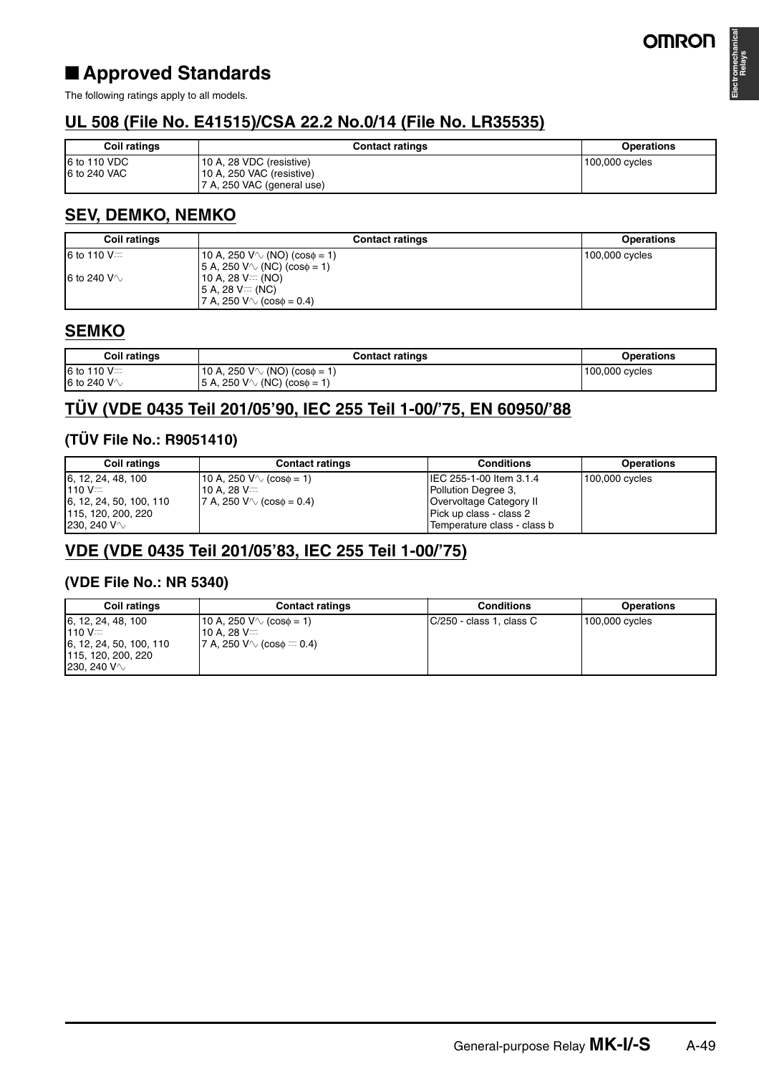### ■ **Approved Standards**

The following ratings apply to all models.

### **UL 508 (File No. E41515)/CSA 22.2 No.0/14 (File No. LR35535)**

| <b>Coil ratings</b>          | <b>Contact ratings</b>                                                              | <b>Operations</b> |
|------------------------------|-------------------------------------------------------------------------------------|-------------------|
| 6 to 110 VDC<br>6 to 240 VAC | 10 A, 28 VDC (resistive)<br>10 A, 250 VAC (resistive)<br>7 A, 250 VAC (general use) | 100,000 cycles    |

#### **SEV, DEMKO, NEMKO**

| <b>Coil ratings</b> | <b>Contact ratings</b>                   | <b>Operations</b> |
|---------------------|------------------------------------------|-------------------|
| 6 to 110 V $=$      | 10 A, 250 V $\vee$ (NO) (cos $\phi$ = 1) | 100,000 cycles    |
|                     | $ 5 A, 250 V \vee (NC) (cos \phi = 1)$   |                   |
| 6 to 240 V $\sim$   | $10$ A, 28 V $=$ (NO)                    |                   |
|                     | $15 A. 28 V = (NC)$                      |                   |
|                     | $ 7 A, 250 V \vee (cos \phi = 0.4) $     |                   |

#### **SEMKO**

| Coil ratings             | <b>Contact ratings</b>                       | <b>Operations</b> |
|--------------------------|----------------------------------------------|-------------------|
| 6 to 110 $V =$           | 10 A, 250 V $\vee$ (NO) (cos $\phi$ = 1)     | 100,000 cycles    |
| <b>6</b> to 240 V $\vee$ | $(NC)(cos\phi = 1)$<br>$15$ A. 250 V $\circ$ |                   |

### **TÜV (VDE 0435 Teil 201/05'90, IEC 255 Teil 1-00/'75, EN 60950/'88**

#### **(TÜV File No.: R9051410)**

| <b>Coil ratings</b>     | <b>Contact ratings</b>                 | <b>Conditions</b>           | <b>Operations</b> |
|-------------------------|----------------------------------------|-----------------------------|-------------------|
| 6, 12, 24, 48, 100      | $10$ A, 250 V $\circ$ (cos $\phi$ = 1) | IIEC 255-1-00 Item 3.1.4    | $100,000$ cycles  |
| $110V =$                | 10 A. 28 V=                            | Pollution Degree 3,         |                   |
| 6, 12, 24, 50, 100, 110 | $ 7 A, 250 V \vee$ (cose = 0.4)        | Overvoltage Category II     |                   |
| 115, 120, 200, 220      |                                        | Pick up class - class 2     |                   |
| 230, 240 V $\sim$       |                                        | Temperature class - class b |                   |

#### **VDE (VDE 0435 Teil 201/05'83, IEC 255 Teil 1-00/'75)**

#### **(VDE File No.: NR 5340)**

| <b>Coil ratings</b>                                                                                  | <b>Contact ratings</b>                                                                    | <b>Conditions</b>        | <b>Operations</b> |
|------------------------------------------------------------------------------------------------------|-------------------------------------------------------------------------------------------|--------------------------|-------------------|
| 6, 12, 24, 48, 100<br>$110V =$<br>6, 12, 24, 50, 100, 110<br>115, 120, 200, 220<br>230. 240 V $\vee$ | 10 A, 250 V $\vee$ (cos $\phi$ = 1)<br>10 A. 28 V $=$<br> 7 A, 250 V∿ (cos $\phi = 0.4$ ) | C/250 - class 1, class C | 100,000 cycles    |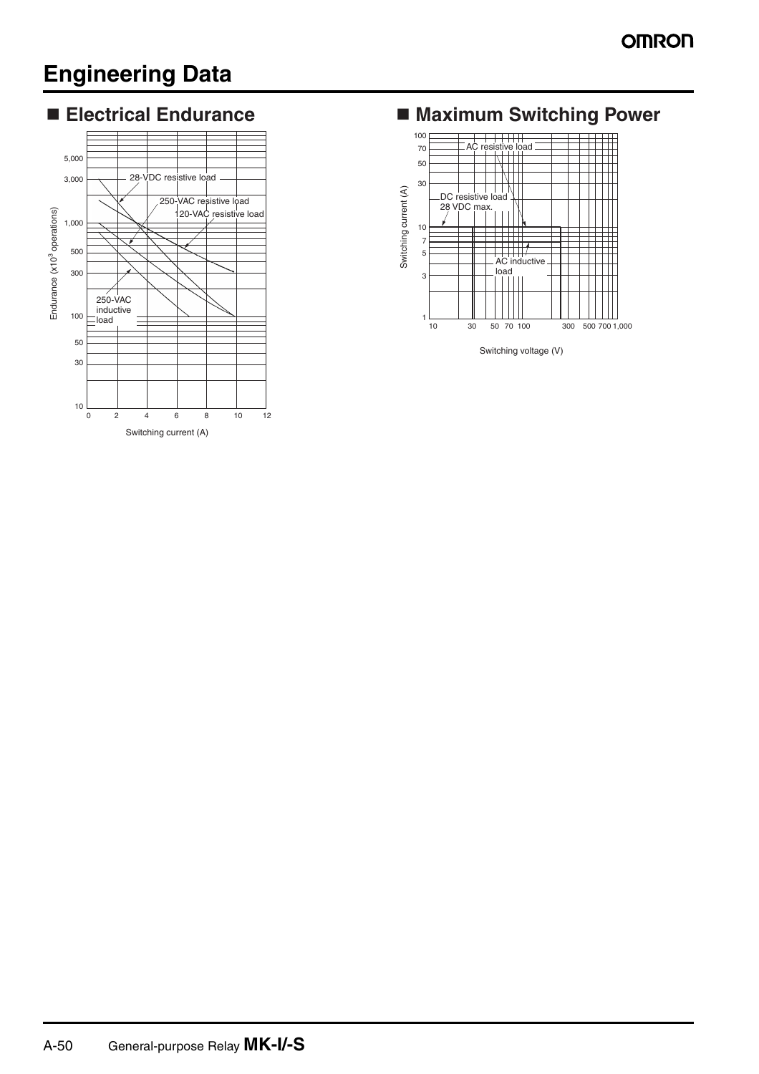# **Engineering Data**



### **Maximum Switching Power**



Switching voltage (V)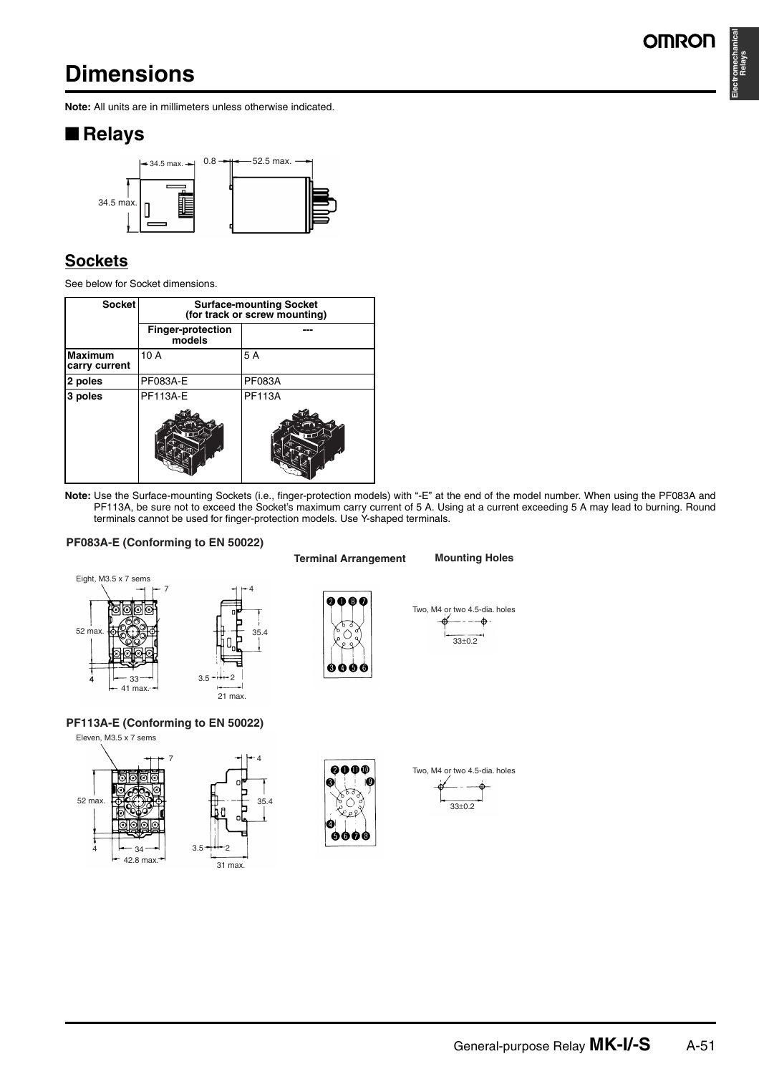# **Dimensions**

**Electromechanical Relays**

**Note:** All units are in millimeters unless otherwise indicated.

### ■ **Relays**



### **Sockets**

See below for Socket dimensions.

| <b>Socket</b>                   | <b>Surface-mounting Socket</b><br>(for track or screw mounting) |               |  |
|---------------------------------|-----------------------------------------------------------------|---------------|--|
|                                 | Finger-protection<br>models                                     |               |  |
| <b>Maximum</b><br>carry current | 10 A                                                            | 5 A           |  |
| 2 poles                         | <b>PF083A-E</b>                                                 | <b>PF083A</b> |  |
| 3 poles                         | <b>PF113A-E</b>                                                 | <b>PF113A</b> |  |
|                                 |                                                                 |               |  |

**Note:** Use the Surface-mounting Sockets (i.e., finger-protection models) with "-E" at the end of the model number. When using the PF083A and PF113A, be sure not to exceed the Socket's maximum carry current of 5 A. Using at a current exceeding 5 A may lead to burning. Round terminals cannot be used for finger-protection models. Use Y-shaped terminals.

#### **PF083A-E (Conforming to EN 50022)**

![](_page_6_Figure_11.jpeg)

![](_page_6_Figure_12.jpeg)

**PF113A-E (Conforming to EN 50022)**

![](_page_6_Figure_14.jpeg)

![](_page_6_Figure_15.jpeg)

0000

€

900G

![](_page_6_Figure_17.jpeg)

### 33±0.2 Two, M4 or two 4.5-dia. holes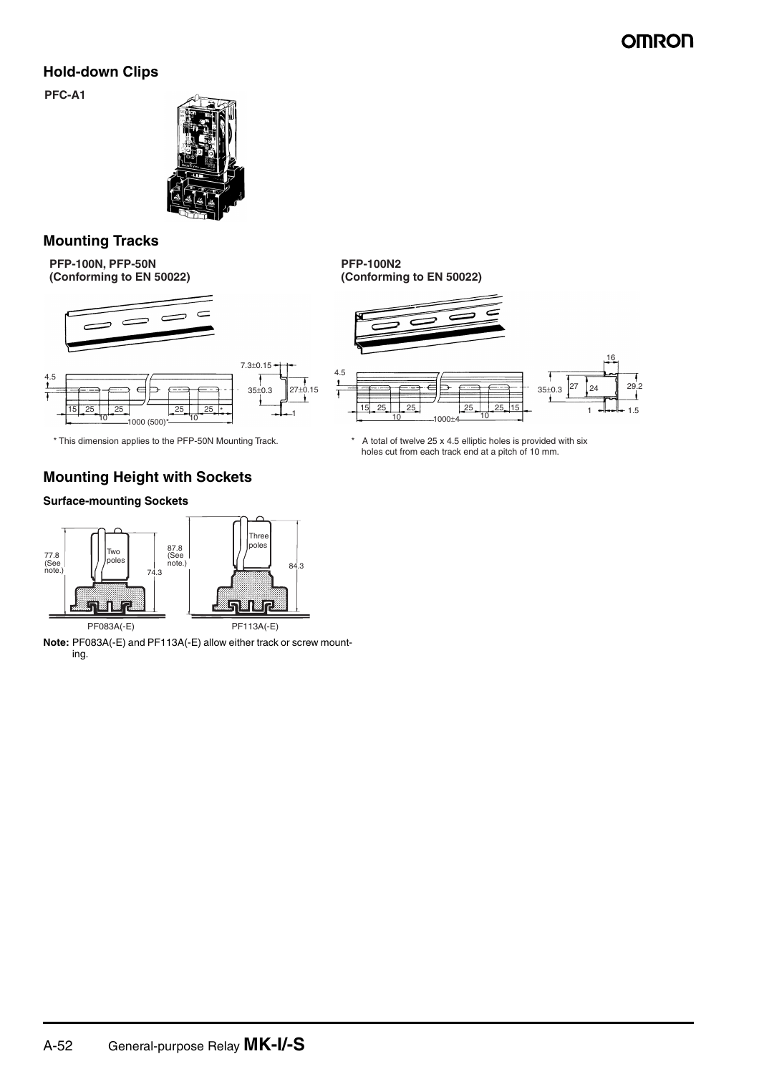#### **Hold-down Clips**

**PFC-A1**

![](_page_7_Picture_3.jpeg)

#### **Mounting Tracks**

**PFP-100N, PFP-50N (Conforming to EN 50022)**

![](_page_7_Figure_6.jpeg)

![](_page_7_Figure_7.jpeg)

#### **Mounting Height with Sockets**

#### **Surface-mounting Sockets**

![](_page_7_Figure_11.jpeg)

**Note:** PF083A(-E) and PF113A(-E) allow either track or screw mounting.

**PFP-100N2 (Conforming to EN 50022)**

![](_page_7_Figure_14.jpeg)

\* This dimension applies to the PFP-50N Mounting Track. \* \* A total of twelve 25 x 4.5 elliptic holes is provided with six holes cut from each track end at a pitch of 10 mm.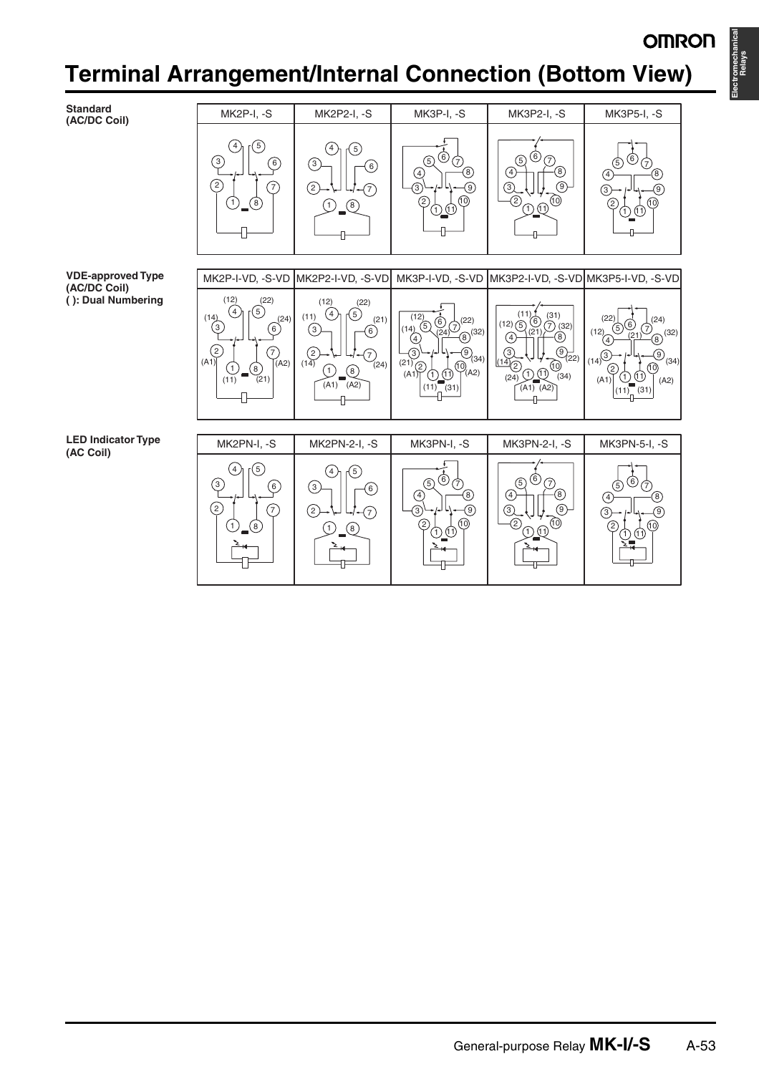**Electromechanical** 

**Relays**

# **Terminal Arrangement/Interna l Connection (Bottom View)**

**Standard (AC/DC Coil)**

MK2P-I, -S MK2P2-I, -S MK3P-I, -S MK3P2-I, -S MK3P5-I, -S 4 5) (4 5  $\circledcirc$   $\circledcirc$  $(5)$   $(6)$  $\circled{3}$ 5) (0 (7<br>5)  $\circledcirc$ 3  $(6)$  $\overline{A}$ 8  $\overline{4}$  $\cdot$  $\circ$  $\binom{4}{ }$ ନ୍ମ  $\left( 2\right)$  $(7)$  $(2)$ 3  $\circledcirc$  $\odot$  $\circledcirc$  $(7)$  $\overline{3}$ ଡ ൹  $\widehat{2}$  $(1)$   $(8)$  $(1)$   $(8)$ 2  $\mathfrak{Y}^{\text{(10)}}$  |  $\mathfrak{Y}^{\text{I}}_{\text{1}}$  $\bigcap$   $\bigoplus$ 2 10 1 11 MK2P-I-VD, -S-VD MK2P2-I-VD, -S-VD MK3P-I-VD, -S-VD MK3P2-I-VD, -S-VD MK3P5-I-VD, -S-VD  $(12)$   $(22)$ <br> $(4)$   $(5)$ (12) (22)  $\sqrt{4}$  $(11)$   $(4)$   $(5)$   $(21)$ 5  $(14)$   $(4)$   $(5)$   $(24)$   $(11)$   $(4)$  $(12)$   $\overline{5}$   $\overline{0}$   $\overline{2}$   $\overline{1}$   $\overline{2}$   $\overline{2}$   $\overline{2}$   $\overline{2}$   $\overline{2}$   $\overline{2}$   $\overline{2}$   $\overline{2}$   $\overline{2}$   $\overline{2}$   $\overline{2}$   $\overline{2}$   $\overline{2}$   $\overline{2}$   $\overline{2}$   $\overline{2}$   $\overline{2}$   $\overline{2}$   $\overline{2}$   $\overline{2}$  $(22)$   $(24)$  $14$ <br> $4)$  $\overset{(12)}{0}$   $\overset{(12)}{0}$   $\overset{(22)}{0}$  $(12)$ <sup>(4)</sup>  $\left(3\right)$ 5@ G  $\binom{3}{}$ 6 6  $(14)$  (32)  $(24)$  (8) (32) (24)  $(12)$   $(21)$   $(32)$   $(32)$  $\circled{4}$  $\Theta$ (21)  $\bigodot$ <sup>1</sup>22  $\sqrt{2}$  $\circledcirc$  $\circled{3}$  $(14)$ <sup>3</sup>  $(7)$  $\bigodot$ <sub>(24)</sub>  $\frac{1}{(21)}$  $(2)$   $\rightarrow$   $\rightarrow$   $\rightarrow$   $(4)$   $(24)$  $(14)$ <sup>(3)</sup>  $\rightarrow$   $\rightarrow$   $(9)$   $(34)$  $( A1 )$   $( )$   $( )$   $( )$  $(A1)$   $\rightarrow$   $\rightarrow$   $\gamma_{(A2)}$  $(21)$  2  $\left[\begin{matrix} 1 & 0 \\ 0 & 1 \end{matrix}\right]$   $(14)$   $(2)$  $\frac{(14)}{(24)}$   $\frac{(14)}{(24)}$   $\frac{(14)}{(24)}$   $\frac{(14)}{(24)}$   $\frac{(14)}{(24)}$   $\frac{(14)}{(24)}$   $\frac{(14)}{(24)}$   $\frac{(14)}{(14)}$   $\frac{(14)}{(14)}$  $D_{\bullet}$  $(2)$  $\Theta$ ้ 8 '仓⑪  $(A1)$   $(1)$   $(1)$   $(1)$   $(1)$   $(1)$ (24) UU (34)  $(11)$  $(A1)$   $(11)$   $(31)$   $(A2)$  $(A1)$ <sup>(</sup>A2)  $(11)$   $(31)$  $(A1) (A2)$ η.  $\overline{a}$ MK2PN-I, -S MK2PN-2-I, -S MK3PN-I, -S MK3PN-2-I, -S MK3PN-5-I, -S 5  $\mathcal{A}$  (5)  $(4)$  (5)  $\binom{4}{ }$  $(5)$ <sup><sup>6</sup> $(7)$ </sup>  $\circledcirc$   $\circledcirc$  $\odot$  $\circledcirc$  $\binom{3}{}$ 6 6  $\circledR$ 4  $\sqrt{4}$ 8  $\sqrt{4}$ 8  $\left( 2\right)$  $(7)$  $\overline{2}$  $\circled{3}$  $(9)$ ெ  $\widehat{\mathcal{F}}$  $\sqrt{3}$ ශ 3 10  $(10)$  $\circledast$  $(1)$   $(8)$ 2 (10) <sup>ഉ</sup>ക്യ° | └º⊕⊕ 2 G 11 1 11

**VDE-approved Type (AC/DC Coil) ( ): Dual Numbering**

**LED Indicator Type (AC Coil)**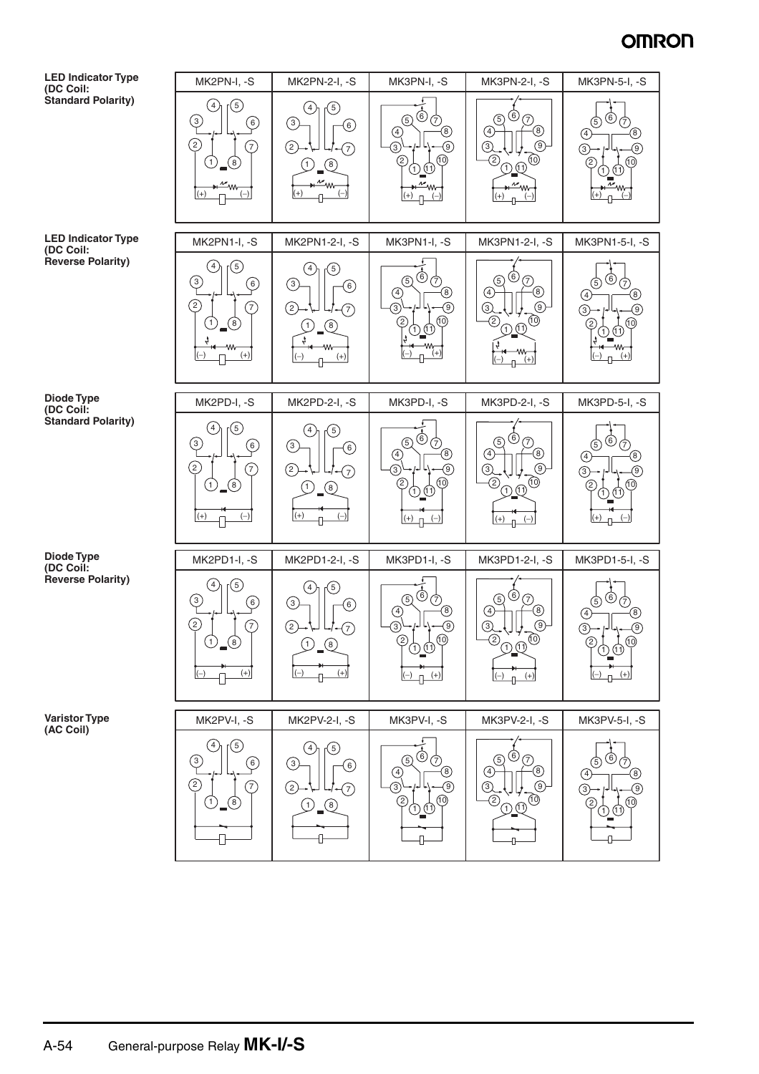![](_page_9_Figure_1.jpeg)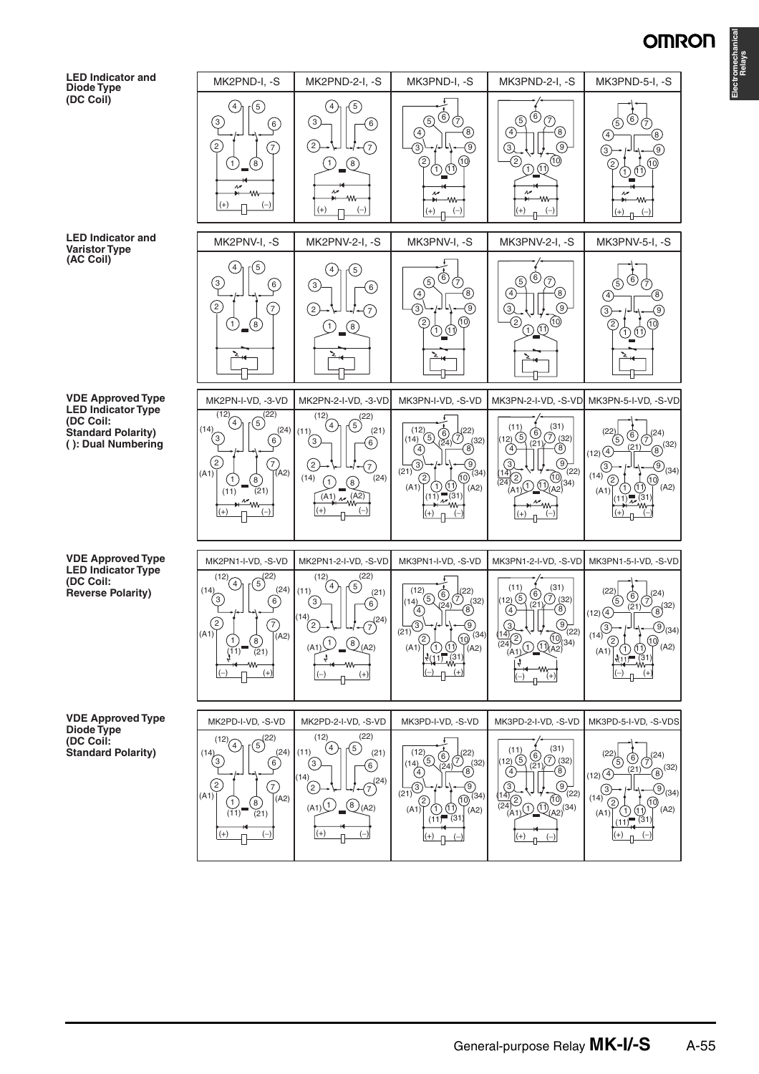![](_page_10_Figure_1.jpeg)

**LED Indicator and Varistor Type (AC Coil)**

**VDE Approved Type LED Indicator Type (DC Coil: Standard Polarity) ( ): Dual Numbering**

**VDE Approved Type LED Indicator Type (DC Coil: Reverse Polarity)**

**VDE Approved Type Diode Type (DC Coil: Standard Polarity)**

![](_page_10_Figure_6.jpeg)